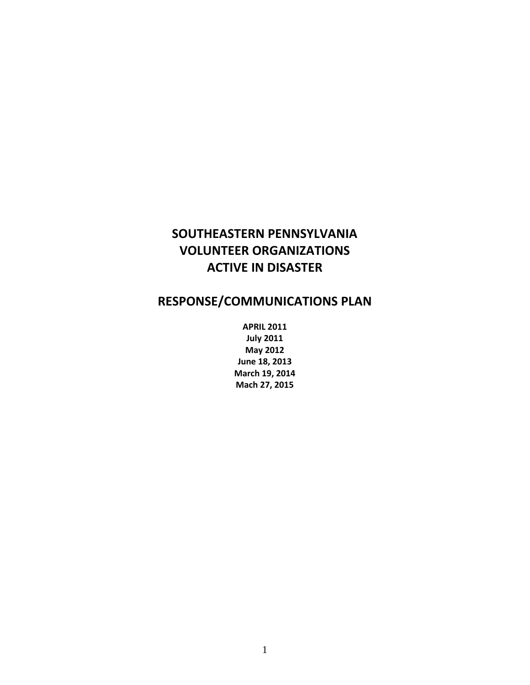# **SOUTHEASTERN PENNSYLVANIA VOLUNTEER ORGANIZATIONS ACTIVE IN DISASTER**

# **RESPONSE/COMMUNICATIONS PLAN**

**APRIL 2011 July 2011 May 2012 June 18, 2013 March 19, 2014 Mach 27, 2015**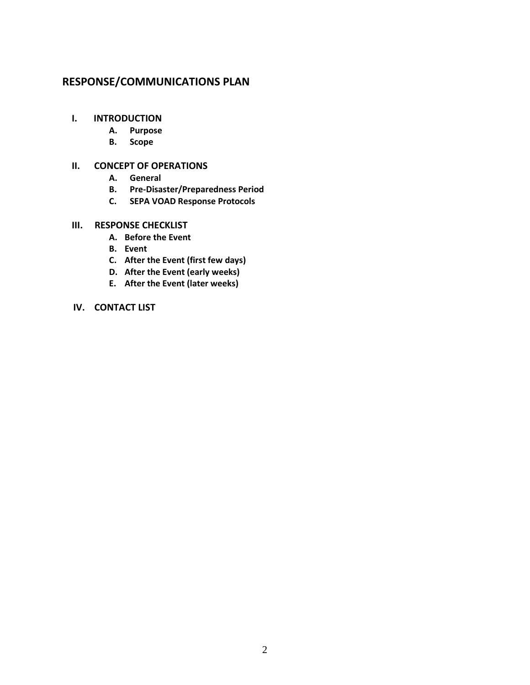## **RESPONSE/COMMUNICATIONS PLAN**

## **I. INTRODUCTION**

- **A. Purpose**
- **B. Scope**

## **II. CONCEPT OF OPERATIONS**

- **A. General**
- **B. Pre-Disaster/Preparedness Period**
- **C. SEPA VOAD Response Protocols**

## **III. RESPONSE CHECKLIST**

- **A. Before the Event**
- **B. Event**
- **C. After the Event (first few days)**
- **D. After the Event (early weeks)**
- **E. After the Event (later weeks)**

## **IV. CONTACT LIST**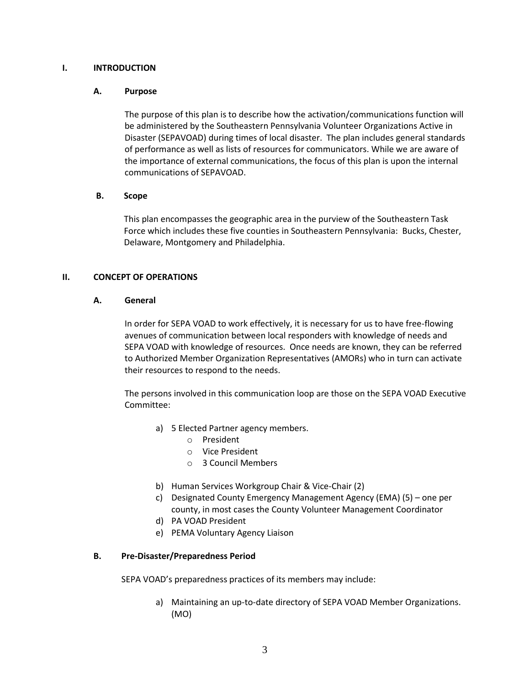#### **I. INTRODUCTION**

#### **A. Purpose**

The purpose of this plan is to describe how the activation/communications function will be administered by the Southeastern Pennsylvania Volunteer Organizations Active in Disaster (SEPAVOAD) during times of local disaster. The plan includes general standards of performance as well as lists of resources for communicators. While we are aware of the importance of external communications, the focus of this plan is upon the internal communications of SEPAVOAD.

#### **B. Scope**

This plan encompasses the geographic area in the purview of the Southeastern Task Force which includes these five counties in Southeastern Pennsylvania: Bucks, Chester, Delaware, Montgomery and Philadelphia.

#### **II. CONCEPT OF OPERATIONS**

#### **A. General**

In order for SEPA VOAD to work effectively, it is necessary for us to have free-flowing avenues of communication between local responders with knowledge of needs and SEPA VOAD with knowledge of resources. Once needs are known, they can be referred to Authorized Member Organization Representatives (AMORs) who in turn can activate their resources to respond to the needs.

The persons involved in this communication loop are those on the SEPA VOAD Executive Committee:

- a) 5 Elected Partner agency members.
	- o President
	- o Vice President
	- o 3 Council Members
- b) Human Services Workgroup Chair & Vice-Chair (2)
- c) Designated County Emergency Management Agency (EMA) (5) one per county, in most cases the County Volunteer Management Coordinator
- d) PA VOAD President
- e) PEMA Voluntary Agency Liaison

#### **B. Pre-Disaster/Preparedness Period**

SEPA VOAD's preparedness practices of its members may include:

a) Maintaining an up-to-date directory of SEPA VOAD Member Organizations. (MO)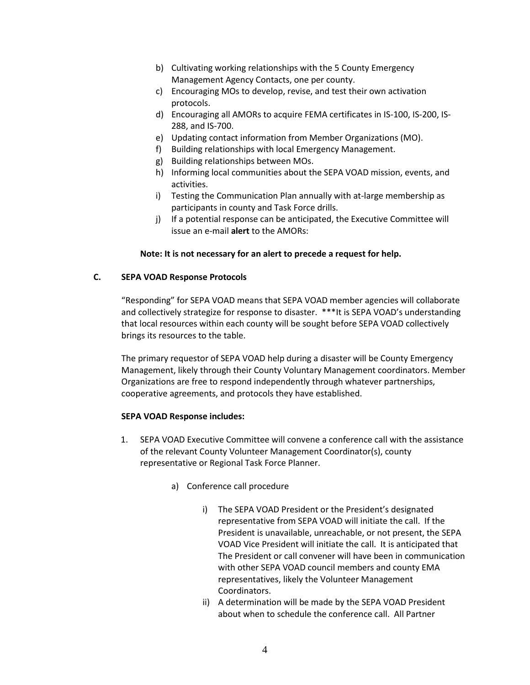- b) Cultivating working relationships with the 5 County Emergency Management Agency Contacts, one per county.
- c) Encouraging MOs to develop, revise, and test their own activation protocols.
- d) Encouraging all AMORs to acquire FEMA certificates in IS-100, IS-200, IS-288, and IS-700.
- e) Updating contact information from Member Organizations (MO).
- f) Building relationships with local Emergency Management.
- g) Building relationships between MOs.
- h) Informing local communities about the SEPA VOAD mission, events, and activities.
- i) Testing the Communication Plan annually with at-large membership as participants in county and Task Force drills.
- j) If a potential response can be anticipated, the Executive Committee will issue an e-mail **alert** to the AMORs:

## **Note: It is not necessary for an alert to precede a request for help.**

## **C. SEPA VOAD Response Protocols**

"Responding" for SEPA VOAD means that SEPA VOAD member agencies will collaborate and collectively strategize for response to disaster. \*\*\*It is SEPA VOAD's understanding that local resources within each county will be sought before SEPA VOAD collectively brings its resources to the table.

The primary requestor of SEPA VOAD help during a disaster will be County Emergency Management, likely through their County Voluntary Management coordinators. Member Organizations are free to respond independently through whatever partnerships, cooperative agreements, and protocols they have established.

#### **SEPA VOAD Response includes:**

- 1. SEPA VOAD Executive Committee will convene a conference call with the assistance of the relevant County Volunteer Management Coordinator(s), county representative or Regional Task Force Planner.
	- a) Conference call procedure
		- i) The SEPA VOAD President or the President's designated representative from SEPA VOAD will initiate the call. If the President is unavailable, unreachable, or not present, the SEPA VOAD Vice President will initiate the call. It is anticipated that The President or call convener will have been in communication with other SEPA VOAD council members and county EMA representatives, likely the Volunteer Management Coordinators.
		- ii) A determination will be made by the SEPA VOAD President about when to schedule the conference call. All Partner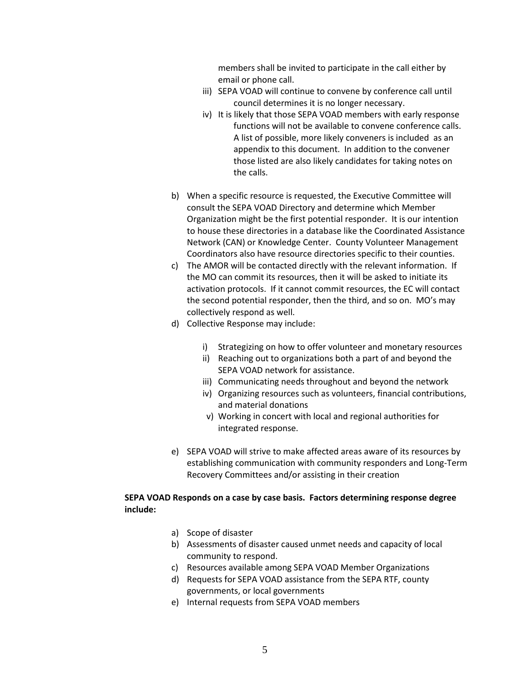members shall be invited to participate in the call either by email or phone call.

- iii) SEPA VOAD will continue to convene by conference call until council determines it is no longer necessary.
- iv) It is likely that those SEPA VOAD members with early response functions will not be available to convene conference calls. A list of possible, more likely conveners is included as an appendix to this document. In addition to the convener those listed are also likely candidates for taking notes on the calls.
- b) When a specific resource is requested, the Executive Committee will consult the SEPA VOAD Directory and determine which Member Organization might be the first potential responder. It is our intention to house these directories in a database like the Coordinated Assistance Network (CAN) or Knowledge Center. County Volunteer Management Coordinators also have resource directories specific to their counties.
- c) The AMOR will be contacted directly with the relevant information. If the MO can commit its resources, then it will be asked to initiate its activation protocols. If it cannot commit resources, the EC will contact the second potential responder, then the third, and so on. MO's may collectively respond as well.
- d) Collective Response may include:
	- i) Strategizing on how to offer volunteer and monetary resources
	- ii) Reaching out to organizations both a part of and beyond the SEPA VOAD network for assistance.
	- iii) Communicating needs throughout and beyond the network
	- iv) Organizing resources such as volunteers, financial contributions, and material donations
	- v) Working in concert with local and regional authorities for integrated response.
- e) SEPA VOAD will strive to make affected areas aware of its resources by establishing communication with community responders and Long-Term Recovery Committees and/or assisting in their creation

#### **SEPA VOAD Responds on a case by case basis. Factors determining response degree include:**

- a) Scope of disaster
- b) Assessments of disaster caused unmet needs and capacity of local community to respond.
- c) Resources available among SEPA VOAD Member Organizations
- d) Requests for SEPA VOAD assistance from the SEPA RTF, county governments, or local governments
- e) Internal requests from SEPA VOAD members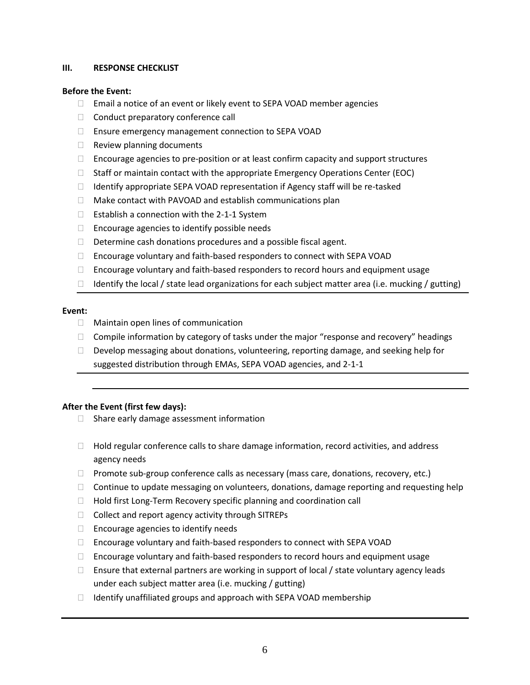#### **III. RESPONSE CHECKLIST**

#### **Before the Event:**

- □ Email a notice of an event or likely event to SEPA VOAD member agencies
- $\Box$  Conduct preparatory conference call
- □ Ensure emergency management connection to SEPA VOAD
- $\Box$  Review planning documents
- $\Box$  Encourage agencies to pre-position or at least confirm capacity and support structures
- $\Box$  Staff or maintain contact with the appropriate Emergency Operations Center (EOC)
- $\Box$  Identify appropriate SEPA VOAD representation if Agency staff will be re-tasked
- $\Box$  Make contact with PAVOAD and establish communications plan
- $\Box$  Establish a connection with the 2-1-1 System
- $\Box$  Encourage agencies to identify possible needs
- $\Box$  Determine cash donations procedures and a possible fiscal agent.
- □ Encourage voluntary and faith-based responders to connect with SEPA VOAD
- $\Box$  Encourage voluntary and faith-based responders to record hours and equipment usage
- $\Box$  Identify the local / state lead organizations for each subject matter area (i.e. mucking / gutting)

#### **Event:**

- $\Box$  Maintain open lines of communication
- $\Box$  Compile information by category of tasks under the major "response and recovery" headings
- $\Box$  Develop messaging about donations, volunteering, reporting damage, and seeking help for suggested distribution through EMAs, SEPA VOAD agencies, and 2-1-1

#### **After the Event (first few days):**

- $\Box$  Share early damage assessment information
- $\Box$  Hold regular conference calls to share damage information, record activities, and address agency needs
- $\Box$  Promote sub-group conference calls as necessary (mass care, donations, recovery, etc.)
- $\Box$  Continue to update messaging on volunteers, donations, damage reporting and requesting help
- $\Box$  Hold first Long-Term Recovery specific planning and coordination call
- $\Box$  Collect and report agency activity through SITREPs
- $\Box$  Encourage agencies to identify needs
- □ Encourage voluntary and faith-based responders to connect with SEPA VOAD
- $\Box$  Encourage voluntary and faith-based responders to record hours and equipment usage
- $\Box$  Ensure that external partners are working in support of local / state voluntary agency leads under each subject matter area (i.e. mucking / gutting)
- $\Box$  Identify unaffiliated groups and approach with SEPA VOAD membership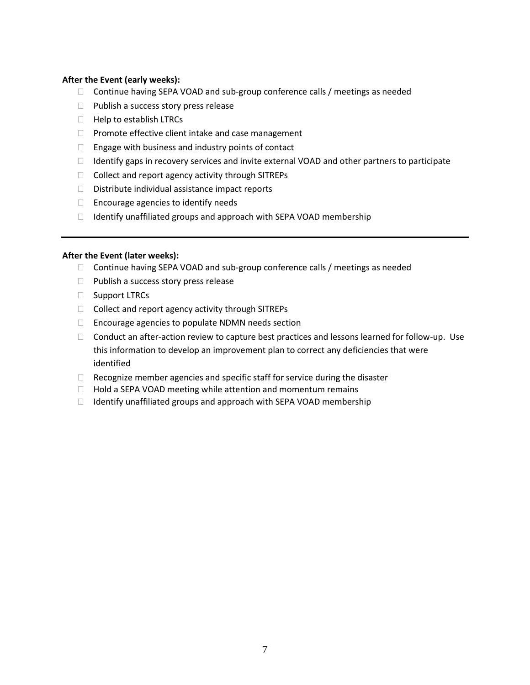#### **After the Event (early weeks):**

- $\Box$  Continue having SEPA VOAD and sub-group conference calls / meetings as needed
- $\Box$  Publish a success story press release
- $\Box$  Help to establish LTRCs
- $\Box$  Promote effective client intake and case management
- $\Box$  Engage with business and industry points of contact
- $\Box$  Identify gaps in recovery services and invite external VOAD and other partners to participate
- $\Box$  Collect and report agency activity through SITREPs
- $\Box$  Distribute individual assistance impact reports
- $\Box$  Encourage agencies to identify needs
- $\Box$  Identify unaffiliated groups and approach with SEPA VOAD membership

#### **After the Event (later weeks):**

- $\Box$  Continue having SEPA VOAD and sub-group conference calls / meetings as needed
- $\Box$  Publish a success story press release
- □ Support LTRCs
- $\Box$  Collect and report agency activity through SITREPs
- □ Encourage agencies to populate NDMN needs section
- $\Box$  Conduct an after-action review to capture best practices and lessons learned for follow-up. Use this information to develop an improvement plan to correct any deficiencies that were identified
- $\Box$  Recognize member agencies and specific staff for service during the disaster
- $\Box$  Hold a SEPA VOAD meeting while attention and momentum remains
- $\Box$  Identify unaffiliated groups and approach with SEPA VOAD membership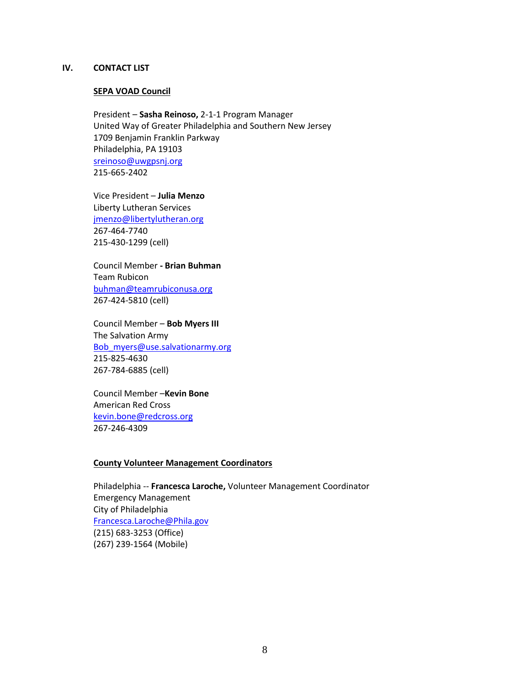#### **IV. CONTACT LIST**

#### **SEPA VOAD Council**

President – **Sasha Reinoso,** 2-1-1 Program Manager United Way of Greater Philadelphia and Southern New Jersey 1709 Benjamin Franklin Parkway Philadelphia, PA 19103 [sreinoso@uwgpsnj.org](mailto:sreinoso@uwgpsnj.org) 215-665-2402

Vice President – **Julia Menzo** Liberty Lutheran Services [jmenzo@libertylutheran.org](mailto:jmenzo@libertylutheran.org) 267-464-7740 215-430-1299 (cell)

Council Member **- Brian Buhman** Team Rubicon [buhman@teamrubiconusa.org](mailto:buhman@teamrubiconusa.org) 267-424-5810 (cell)

Council Member – **Bob Myers III** The Salvation Army [Bob\\_myers@use.salvationarmy.org](mailto:Bob_myers@use.salvationarmy.org) 215-825-4630 267-784-6885 (cell)

Council Member –**Kevin Bone** American Red Cross [kevin.bone@redcross.org](mailto:kevin.bone@redcross.org) 267-246-4309

#### **County Volunteer Management Coordinators**

Philadelphia -- **Francesca Laroche,** Volunteer Management Coordinator Emergency Management City of Philadelphia [Francesca.Laroche@Phila.gov](mailto:Francesca.Laroche@Phila.gov) (215) 683-3253 (Office) (267) 239-1564 (Mobile)